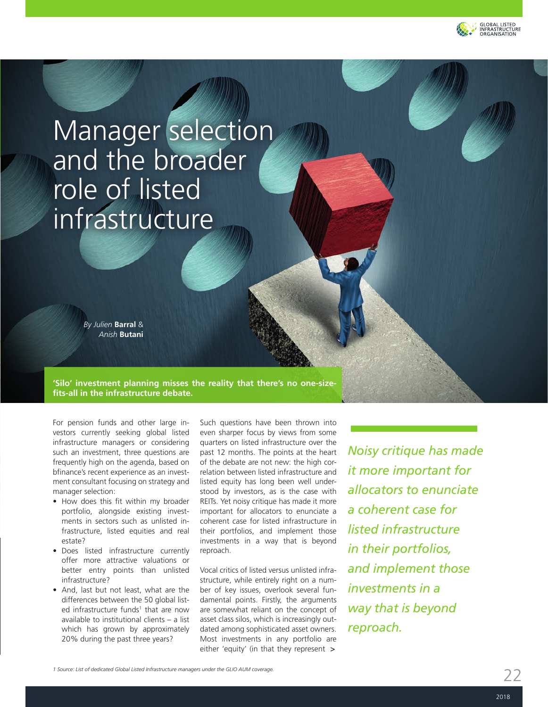

# Manager selection and the broader role of listed infrastructure

*By Julien* **Barral** & *Anish* **Butani**

**'Silo' investment planning misses the reality that there's no one-sizefits-all in the infrastructure debate.**

For pension funds and other large investors currently seeking global listed infrastructure managers or considering such an investment, three questions are frequently high on the agenda, based on bfinance's recent experience as an investment consultant focusing on strategy and manager selection:

- How does this fit within my broader portfolio, alongside existing investments in sectors such as unlisted infrastructure, listed equities and real estate?
- Does listed infrastructure currently offer more attractive valuations or better entry points than unlisted infrastructure?
- And, last but not least, what are the differences between the 50 global listed infrastructure funds<sup>1</sup> that are now available to institutional clients – a list which has grown by approximately 20% during the past three years?

Such questions have been thrown into even sharper focus by views from some quarters on listed infrastructure over the past 12 months. The points at the heart of the debate are not new: the high correlation between listed infrastructure and listed equity has long been well understood by investors, as is the case with REITs. Yet noisy critique has made it more important for allocators to enunciate a coherent case for listed infrastructure in their portfolios, and implement those investments in a way that is beyond reproach.

Vocal critics of listed versus unlisted infrastructure, while entirely right on a number of key issues, overlook several fundamental points. Firstly, the arguments are somewhat reliant on the concept of asset class silos, which is increasingly outdated among sophisticated asset owners. Most investments in any portfolio are either 'equity' (in that they represent >

*Noisy critique has made it more important for allocators to enunciate a coherent case for listed infrastructure in their portfolios, and implement those investments in a way that is beyond reproach.*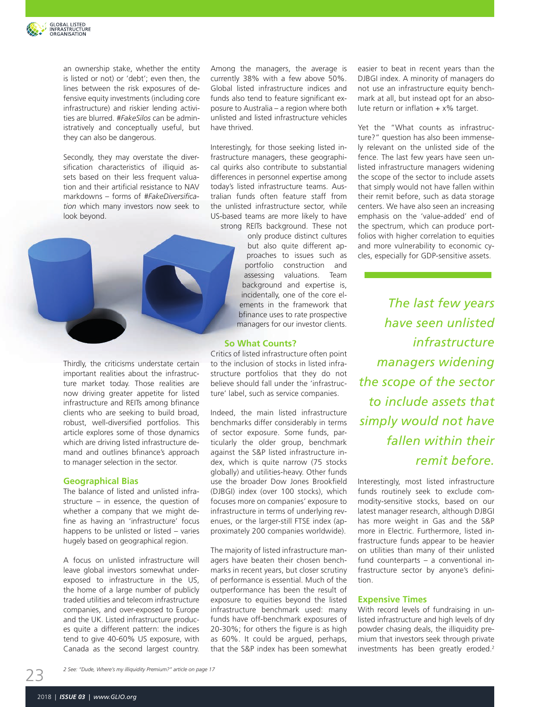

an ownership stake, whether the entity is listed or not) or 'debt'; even then, the lines between the risk exposures of defensive equity investments (including core infrastructure) and riskier lending activities are blurred. *#FakeSilos* can be administratively and conceptually useful, but they can also be dangerous.

Secondly, they may overstate the diversification characteristics of illiquid assets based on their less frequent valuation and their artificial resistance to NAV markdowns – forms of *#FakeDiversification* which many investors now seek to look beyond.



Thirdly, the criticisms understate certain important realities about the infrastructure market today. Those realities are now driving greater appetite for listed infrastructure and REITs among bfinance clients who are seeking to build broad, robust, well-diversified portfolios. This article explores some of those dynamics which are driving listed infrastructure demand and outlines bfinance's approach to manager selection in the sector.

#### **Geographical Bias**

The balance of listed and unlisted infrastructure – in essence, the question of whether a company that we might define as having an 'infrastructure' focus happens to be unlisted or listed – varies hugely based on geographical region.

A focus on unlisted infrastructure will leave global investors somewhat underexposed to infrastructure in the US, the home of a large number of publicly traded utilities and telecom infrastructure companies, and over-exposed to Europe and the UK. Listed infrastructure produces quite a different pattern: the indices tend to give 40-60% US exposure, with Canada as the second largest country.

Among the managers, the average is currently 38% with a few above 50%. Global listed infrastructure indices and funds also tend to feature significant exposure to Australia – a region where both unlisted and listed infrastructure vehicles have thrived.

Interestingly, for those seeking listed infrastructure managers, these geographical quirks also contribute to substantial differences in personnel expertise among today's listed infrastructure teams. Australian funds often feature staff from the unlisted infrastructure sector, while US-based teams are more likely to have strong REITs background. These not

only produce distinct cultures but also quite different approaches to issues such as portfolio construction and assessing valuations. Team background and expertise is, incidentally, one of the core elements in the framework that bfinance uses to rate prospective managers for our investor clients.

#### **So What Counts?**

Critics of listed infrastructure often point to the inclusion of stocks in listed infrastructure portfolios that they do not believe should fall under the 'infrastructure' label, such as service companies.

Indeed, the main listed infrastructure benchmarks differ considerably in terms of sector exposure. Some funds, particularly the older group, benchmark against the S&P listed infrastructure index, which is quite narrow (75 stocks globally) and utilities-heavy. Other funds use the broader Dow Jones Brookfield (DJBGI) index (over 100 stocks), which focuses more on companies' exposure to infrastructure in terms of underlying revenues, or the larger-still FTSE index (approximately 200 companies worldwide).

The majority of listed infrastructure managers have beaten their chosen benchmarks in recent years, but closer scrutiny of performance is essential. Much of the outperformance has been the result of exposure to equities beyond the listed infrastructure benchmark used: many funds have off-benchmark exposures of 20-30%; for others the figure is as high as 60%. It could be argued, perhaps, that the S&P index has been somewhat

easier to beat in recent years than the DJBGI index. A minority of managers do not use an infrastructure equity benchmark at all, but instead opt for an absolute return or inflation  $+ x\%$  target.

Yet the "What counts as infrastructure?" question has also been immensely relevant on the unlisted side of the fence. The last few years have seen unlisted infrastructure managers widening the scope of the sector to include assets that simply would not have fallen within their remit before, such as data storage centers. We have also seen an increasing emphasis on the 'value-added' end of the spectrum, which can produce portfolios with higher correlation to equities and more vulnerability to economic cycles, especially for GDP-sensitive assets.

*The last few years have seen unlisted infrastructure managers widening the scope of the sector to include assets that simply would not have fallen within their remit before.*

Interestingly, most listed infrastructure funds routinely seek to exclude commodity-sensitive stocks, based on our latest manager research, although DJBGI has more weight in Gas and the S&P more in Electric. Furthermore, listed infrastructure funds appear to be heavier on utilities than many of their unlisted fund counterparts – a conventional infrastructure sector by anyone's definition.

#### **Expensive Times**

With record levels of fundraising in unlisted infrastructure and high levels of dry powder chasing deals, the illiquidity premium that investors seek through private investments has been greatly eroded.<sup>2</sup>

*2 See: "Dude, Where's my illiquidity Premium?" article on page 17*

23